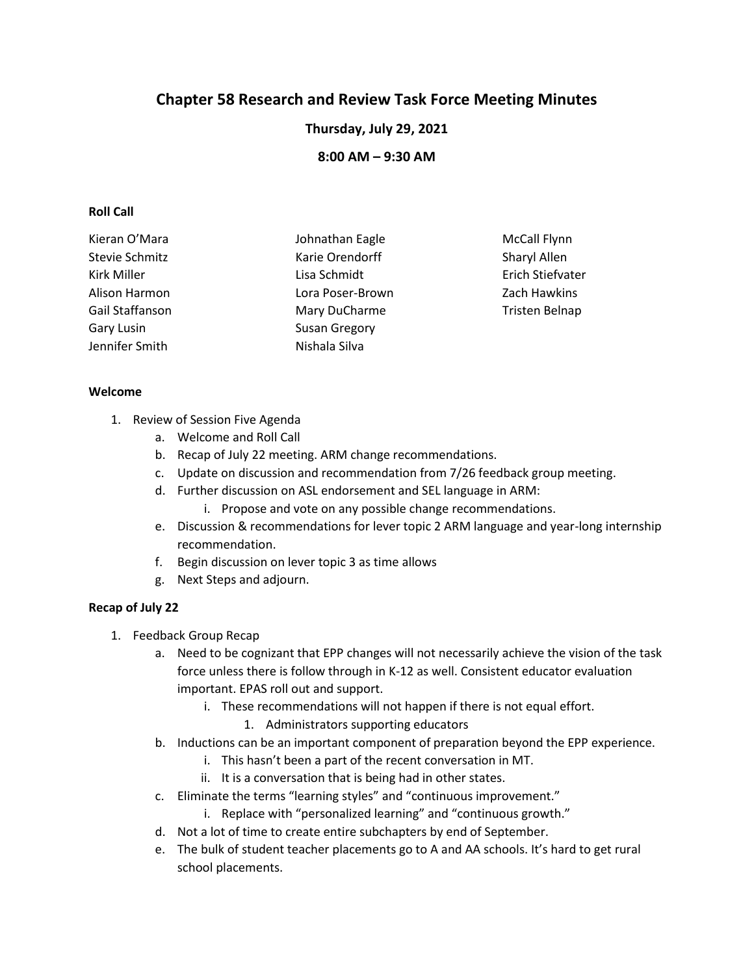# **Chapter 58 Research and Review Task Force Meeting Minutes**

**Thursday, July 29, 2021**

**8:00 AM – 9:30 AM**

#### **Roll Call**

| Kieran O'Mara   | Johnathan Eagle      | <b>McCall Flynn</b> |
|-----------------|----------------------|---------------------|
| Stevie Schmitz  | Karie Orendorff      | Sharyl Allen        |
| Kirk Miller     | Lisa Schmidt         | Erich Stiefvater    |
| Alison Harmon   | Lora Poser-Brown     | Zach Hawkins        |
| Gail Staffanson | Mary DuCharme        | Tristen Belnap      |
| Gary Lusin      | <b>Susan Gregory</b> |                     |
| Jennifer Smith  | Nishala Silva        |                     |

#### **Welcome**

- 1. Review of Session Five Agenda
	- a. Welcome and Roll Call
	- b. Recap of July 22 meeting. ARM change recommendations.
	- c. Update on discussion and recommendation from 7/26 feedback group meeting.
	- d. Further discussion on ASL endorsement and SEL language in ARM:
		- i. Propose and vote on any possible change recommendations.
	- e. Discussion & recommendations for lever topic 2 ARM language and year-long internship recommendation.
	- f. Begin discussion on lever topic 3 as time allows
	- g. Next Steps and adjourn.

## **Recap of July 22**

- 1. Feedback Group Recap
	- a. Need to be cognizant that EPP changes will not necessarily achieve the vision of the task force unless there is follow through in K-12 as well. Consistent educator evaluation important. EPAS roll out and support.
		- i. These recommendations will not happen if there is not equal effort.
			- 1. Administrators supporting educators
	- b. Inductions can be an important component of preparation beyond the EPP experience.
		- i. This hasn't been a part of the recent conversation in MT.
		- ii. It is a conversation that is being had in other states.
	- c. Eliminate the terms "learning styles" and "continuous improvement."
		- i. Replace with "personalized learning" and "continuous growth."
	- d. Not a lot of time to create entire subchapters by end of September.
	- e. The bulk of student teacher placements go to A and AA schools. It's hard to get rural school placements.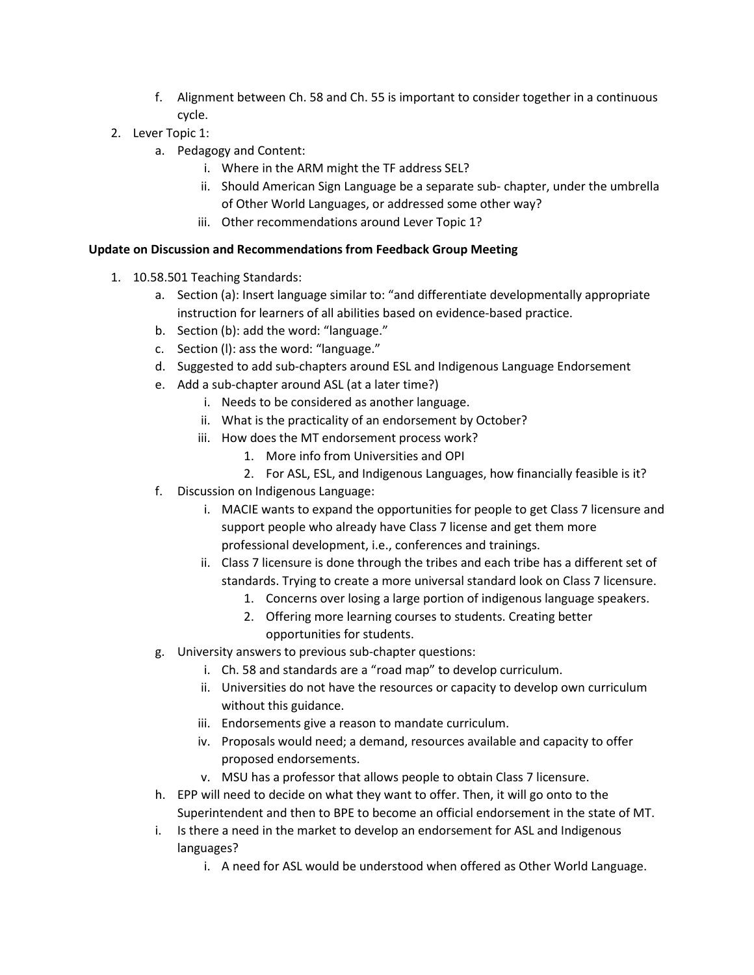- f. Alignment between Ch. 58 and Ch. 55 is important to consider together in a continuous cycle.
- 2. Lever Topic 1:
	- a. Pedagogy and Content:
		- i. Where in the ARM might the TF address SEL?
		- ii. Should American Sign Language be a separate sub- chapter, under the umbrella of Other World Languages, or addressed some other way?
		- iii. Other recommendations around Lever Topic 1?

## **Update on Discussion and Recommendations from Feedback Group Meeting**

- 1. 10.58.501 Teaching Standards:
	- a. Section (a): Insert language similar to: "and differentiate developmentally appropriate instruction for learners of all abilities based on evidence-based practice.
	- b. Section (b): add the word: "language."
	- c. Section (l): ass the word: "language."
	- d. Suggested to add sub-chapters around ESL and Indigenous Language Endorsement
	- e. Add a sub-chapter around ASL (at a later time?)
		- i. Needs to be considered as another language.
		- ii. What is the practicality of an endorsement by October?
		- iii. How does the MT endorsement process work?
			- 1. More info from Universities and OPI
			- 2. For ASL, ESL, and Indigenous Languages, how financially feasible is it?
	- f. Discussion on Indigenous Language:
		- i. MACIE wants to expand the opportunities for people to get Class 7 licensure and support people who already have Class 7 license and get them more professional development, i.e., conferences and trainings.
		- ii. Class 7 licensure is done through the tribes and each tribe has a different set of standards. Trying to create a more universal standard look on Class 7 licensure.
			- 1. Concerns over losing a large portion of indigenous language speakers.
			- 2. Offering more learning courses to students. Creating better opportunities for students.
	- g. University answers to previous sub-chapter questions:
		- i. Ch. 58 and standards are a "road map" to develop curriculum.
		- ii. Universities do not have the resources or capacity to develop own curriculum without this guidance.
		- iii. Endorsements give a reason to mandate curriculum.
		- iv. Proposals would need; a demand, resources available and capacity to offer proposed endorsements.
		- v. MSU has a professor that allows people to obtain Class 7 licensure.
	- h. EPP will need to decide on what they want to offer. Then, it will go onto to the Superintendent and then to BPE to become an official endorsement in the state of MT.
	- i. Is there a need in the market to develop an endorsement for ASL and Indigenous languages?
		- i. A need for ASL would be understood when offered as Other World Language.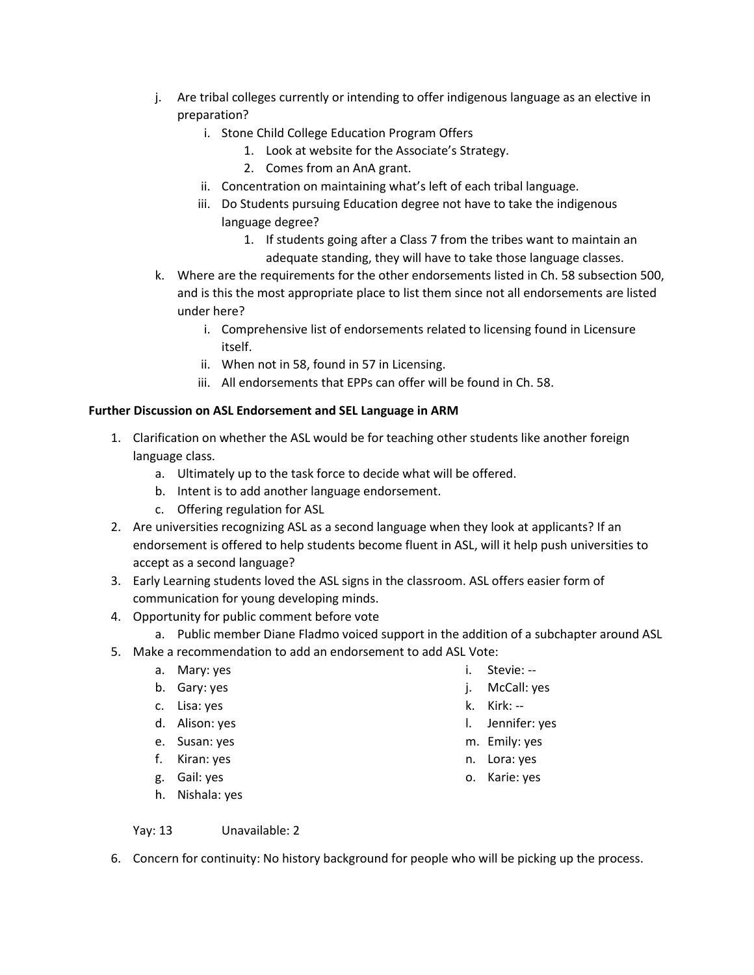- j. Are tribal colleges currently or intending to offer indigenous language as an elective in preparation?
	- i. Stone Child College Education Program Offers
		- 1. Look at website for the Associate's Strategy.
		- 2. Comes from an AnA grant.
	- ii. Concentration on maintaining what's left of each tribal language.
	- iii. Do Students pursuing Education degree not have to take the indigenous language degree?
		- 1. If students going after a Class 7 from the tribes want to maintain an adequate standing, they will have to take those language classes.
- k. Where are the requirements for the other endorsements listed in Ch. 58 subsection 500, and is this the most appropriate place to list them since not all endorsements are listed under here?
	- i. Comprehensive list of endorsements related to licensing found in Licensure itself.
	- ii. When not in 58, found in 57 in Licensing.
	- iii. All endorsements that EPPs can offer will be found in Ch. 58.

#### **Further Discussion on ASL Endorsement and SEL Language in ARM**

- 1. Clarification on whether the ASL would be for teaching other students like another foreign language class.
	- a. Ultimately up to the task force to decide what will be offered.
	- b. Intent is to add another language endorsement.
	- c. Offering regulation for ASL
- 2. Are universities recognizing ASL as a second language when they look at applicants? If an endorsement is offered to help students become fluent in ASL, will it help push universities to accept as a second language?
- 3. Early Learning students loved the ASL signs in the classroom. ASL offers easier form of communication for young developing minds.
- 4. Opportunity for public comment before vote
	- a. Public member Diane Fladmo voiced support in the addition of a subchapter around ASL
- 5. Make a recommendation to add an endorsement to add ASL Vote:
	- a. Mary: yes
	- b. Gary: yes
	- c. Lisa: yes
	- d. Alison: yes
	- e. Susan: yes
	- f. Kiran: yes
	- g. Gail: yes
	- h. Nishala: yes

Yay: 13 Unavailable: 2

6. Concern for continuity: No history background for people who will be picking up the process.

- i. Stevie: --
- j. McCall: yes
- k. Kirk: --
- l. Jennifer: yes
- m. Emily: yes
- n. Lora: yes
- o. Karie: yes